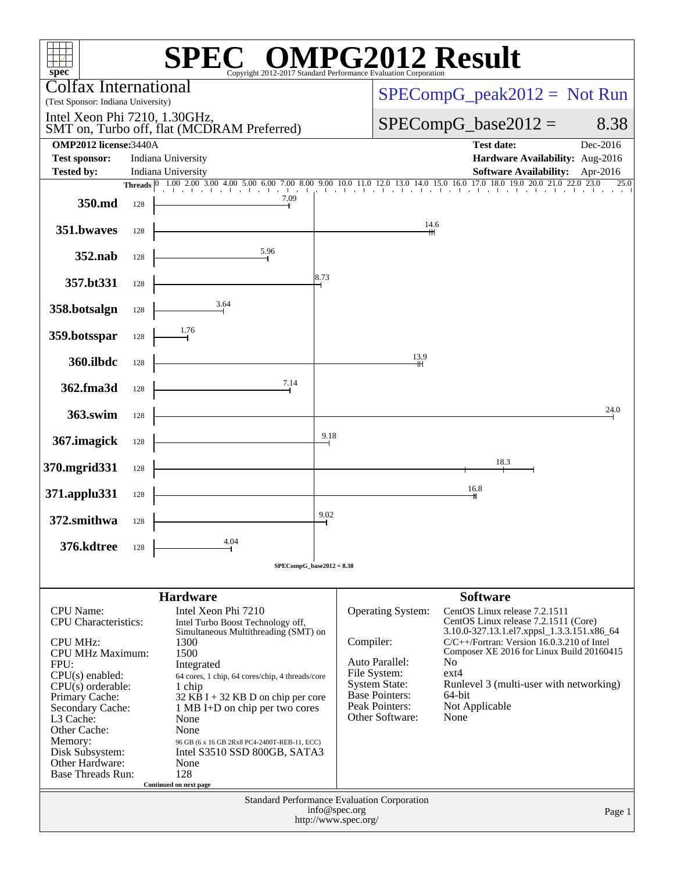| spec <sup>®</sup>                                                           |                                            |                                                                                                                                                    |                                                     | $\mathbb{C}^{\scriptscriptstyle \otimes}$ OMPG2012 Result<br>Copyright 2012-2017 Standard Performance Evaluation Corporation |                          |                                                                                                                                                                                  |          |
|-----------------------------------------------------------------------------|--------------------------------------------|----------------------------------------------------------------------------------------------------------------------------------------------------|-----------------------------------------------------|------------------------------------------------------------------------------------------------------------------------------|--------------------------|----------------------------------------------------------------------------------------------------------------------------------------------------------------------------------|----------|
| Colfax International<br>(Test Sponsor: Indiana University)                  |                                            |                                                                                                                                                    |                                                     |                                                                                                                              |                          | $SPECompG_peak2012 = Not Run$                                                                                                                                                    |          |
| Intel Xeon Phi 7210, 1.30GHz,                                               | SMT on, Turbo off, flat (MCDRAM Preferred) |                                                                                                                                                    |                                                     | $SPECompG_base2012 =$                                                                                                        | 8.38                     |                                                                                                                                                                                  |          |
| <b>OMP2012</b> license: 3440A                                               |                                            |                                                                                                                                                    |                                                     |                                                                                                                              |                          | <b>Test date:</b>                                                                                                                                                                | Dec-2016 |
| <b>Test sponsor:</b>                                                        |                                            | Indiana University                                                                                                                                 |                                                     |                                                                                                                              |                          | Hardware Availability: Aug-2016                                                                                                                                                  |          |
| <b>Tested by:</b>                                                           |                                            | Indiana University<br>Threads 0 1.00 2.00 3.00 4.00 5.00 6.00 7.00 8.00 9.00 10.0 11.0 12.0 13.0 14.0 15.0 16.0 17.0 18.0 19.0 20.0 21.0 22.0 23.0 |                                                     |                                                                                                                              |                          | <b>Software Availability:</b> Apr-2016                                                                                                                                           | 25.0     |
| 350.md                                                                      | 128                                        | .<br>7.09                                                                                                                                          |                                                     | 1 . 1 . 1 . 1 . 1 . 1                                                                                                        |                          | and a later than the state                                                                                                                                                       |          |
| 351.bwaves                                                                  | 128                                        |                                                                                                                                                    |                                                     | 14.6                                                                                                                         |                          |                                                                                                                                                                                  |          |
| 352.nab                                                                     | 128                                        | 5.96                                                                                                                                               |                                                     |                                                                                                                              |                          |                                                                                                                                                                                  |          |
| 357.bt331                                                                   | 128                                        |                                                                                                                                                    | 8.73                                                |                                                                                                                              |                          |                                                                                                                                                                                  |          |
| 358.botsalgn                                                                | 128                                        | 3.64                                                                                                                                               |                                                     |                                                                                                                              |                          |                                                                                                                                                                                  |          |
| 359.botsspar                                                                | 128                                        | 1.76                                                                                                                                               |                                                     | 13.9                                                                                                                         |                          |                                                                                                                                                                                  |          |
| 360.ilbdc                                                                   | 128                                        | 7.14                                                                                                                                               |                                                     |                                                                                                                              |                          |                                                                                                                                                                                  |          |
| 362.fma3d                                                                   | 128                                        |                                                                                                                                                    |                                                     |                                                                                                                              |                          |                                                                                                                                                                                  | 24.0     |
| 363.swim<br>367. imagick                                                    | 128<br>128                                 |                                                                                                                                                    | 9.18                                                |                                                                                                                              |                          |                                                                                                                                                                                  |          |
| 370.mgrid331                                                                | 128                                        |                                                                                                                                                    |                                                     |                                                                                                                              |                          | 18.3                                                                                                                                                                             |          |
| 371.applu331                                                                | 128                                        |                                                                                                                                                    |                                                     |                                                                                                                              |                          | 16.8                                                                                                                                                                             |          |
| 372.smithwa                                                                 | 128                                        |                                                                                                                                                    | 9.02                                                |                                                                                                                              |                          |                                                                                                                                                                                  |          |
| 376.kdtree                                                                  | 128                                        | 4.04                                                                                                                                               |                                                     |                                                                                                                              |                          |                                                                                                                                                                                  |          |
|                                                                             |                                            | $SPECompG_base2012 = 8.38$                                                                                                                         |                                                     |                                                                                                                              |                          |                                                                                                                                                                                  |          |
|                                                                             |                                            | <b>Hardware</b>                                                                                                                                    |                                                     |                                                                                                                              |                          | <b>Software</b>                                                                                                                                                                  |          |
| <b>CPU</b> Name:                                                            |                                            | Intel Xeon Phi 7210                                                                                                                                |                                                     | <b>Operating System:</b>                                                                                                     |                          | CentOS Linux release 7.2.1511                                                                                                                                                    |          |
| <b>CPU</b> Characteristics:<br><b>CPU MHz:</b><br><b>CPU MHz Maximum:</b>   |                                            | Intel Turbo Boost Technology off,<br>Simultaneous Multithreading (SMT) on<br>1300<br>1500                                                          |                                                     | Compiler:<br>Auto Parallel:                                                                                                  | No                       | CentOS Linux release 7.2.1511 (Core)<br>3.10.0-327.13.1.el7.xppsl_1.3.3.151.x86_64<br>$C/C++/Fortran$ : Version 16.0.3.210 of Intel<br>Composer XE 2016 for Linux Build 20160415 |          |
| FPU:<br>$CPU(s)$ enabled:<br>$CPU(s)$ orderable:                            |                                            | Integrated<br>64 cores, 1 chip, 64 cores/chip, 4 threads/core<br>1 chip                                                                            |                                                     | File System:<br><b>System State:</b>                                                                                         | $ext{4}$                 | Runlevel 3 (multi-user with networking)                                                                                                                                          |          |
| Primary Cache:<br>Secondary Cache:<br>L <sub>3</sub> Cache:<br>Other Cache: |                                            | $32$ KB I + 32 KB D on chip per core<br>1 MB I+D on chip per two cores<br>None<br>None                                                             | Base Pointers:<br>Peak Pointers:<br>Other Software: | None                                                                                                                         | 64-bit<br>Not Applicable |                                                                                                                                                                                  |          |
| Memory:<br>Disk Subsystem:<br>Other Hardware:<br><b>Base Threads Run:</b>   |                                            | 96 GB (6 x 16 GB 2Rx8 PC4-2400T-REB-11, ECC)<br>Intel S3510 SSD 800GB, SATA3<br>None<br>128                                                        |                                                     |                                                                                                                              |                          |                                                                                                                                                                                  |          |
|                                                                             |                                            | Continued on next page                                                                                                                             |                                                     |                                                                                                                              |                          |                                                                                                                                                                                  |          |
|                                                                             |                                            |                                                                                                                                                    |                                                     | Standard Performance Evaluation Corporation<br>info@spec.org<br>http://www.spec.org/                                         |                          |                                                                                                                                                                                  | Page 1   |
|                                                                             |                                            |                                                                                                                                                    |                                                     |                                                                                                                              |                          |                                                                                                                                                                                  |          |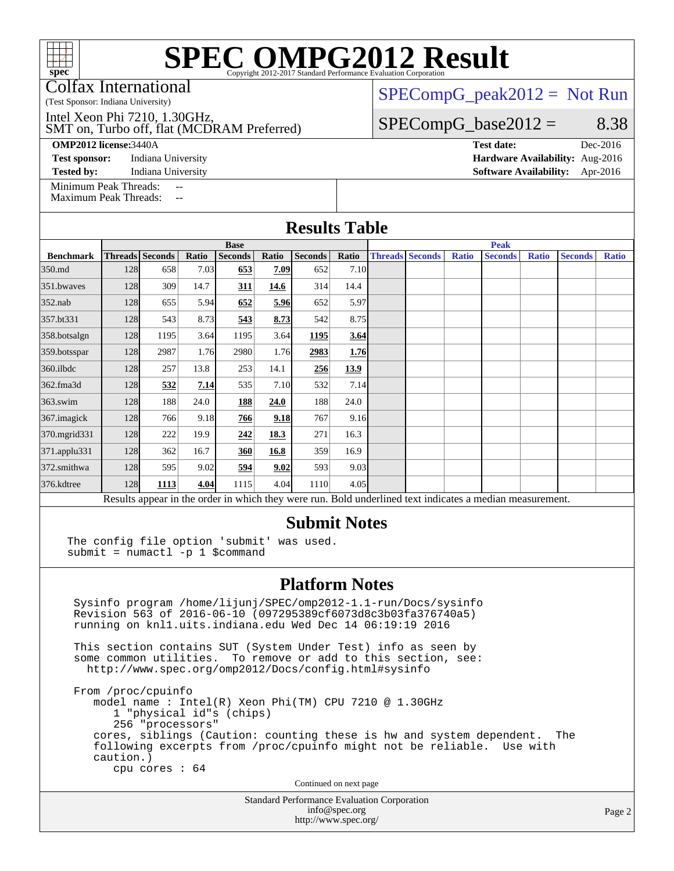Colfax International

(Test Sponsor: Indiana University)

SMT on, Turbo off, flat (MCDRAM Preferred) Intel Xeon Phi 7210, 1.30GHz,

#### **[OMP2012 license:](http://www.spec.org/auto/omp2012/Docs/result-fields.html#OMP2012license)**3440A **[Test date:](http://www.spec.org/auto/omp2012/Docs/result-fields.html#Testdate)** Dec-2016

**[Test sponsor:](http://www.spec.org/auto/omp2012/Docs/result-fields.html#Testsponsor)** Indiana University **[Hardware Availability:](http://www.spec.org/auto/omp2012/Docs/result-fields.html#HardwareAvailability)** Aug-2016

**[Tested by:](http://www.spec.org/auto/omp2012/Docs/result-fields.html#Testedby)** Indiana University **[Software Availability:](http://www.spec.org/auto/omp2012/Docs/result-fields.html#SoftwareAvailability)** Apr-2016

[Minimum Peak Threads:](http://www.spec.org/auto/omp2012/Docs/result-fields.html#MinimumPeakThreads)

[Maximum Peak Threads:](http://www.spec.org/auto/omp2012/Docs/result-fields.html#MaximumPeakThreads)

 $SPECompG_peak2012 = Not Run$  $SPECompG_peak2012 = Not Run$ 

### $SPECompG_base2012 = 8.38$  $SPECompG_base2012 = 8.38$

| <b>Results Table</b> |                     |                 |       |                |       |                |             |  |                        |              |                                                                                                          |              |                |              |  |
|----------------------|---------------------|-----------------|-------|----------------|-------|----------------|-------------|--|------------------------|--------------|----------------------------------------------------------------------------------------------------------|--------------|----------------|--------------|--|
|                      | <b>Base</b>         |                 |       |                |       |                |             |  | <b>Peak</b>            |              |                                                                                                          |              |                |              |  |
| <b>Benchmark</b>     |                     | Threads Seconds | Ratio | <b>Seconds</b> | Ratio | <b>Seconds</b> | Ratio       |  | <b>Threads Seconds</b> | <b>Ratio</b> | <b>Seconds</b>                                                                                           | <b>Ratio</b> | <b>Seconds</b> | <b>Ratio</b> |  |
| 350.md               | 128                 | 658             | 7.03  | 653            | 7.09  | 652            | 7.10        |  |                        |              |                                                                                                          |              |                |              |  |
| 351.bwayes           | 128                 | 309             | 14.7  | 311            | 14.6  | 314            | 14.4        |  |                        |              |                                                                                                          |              |                |              |  |
| 352.nab              | 128                 | 655             | 5.94  | 652            | 5.96  | 652            | 5.97        |  |                        |              |                                                                                                          |              |                |              |  |
| 357.bt331            | 128                 | 543             | 8.73  | 543            | 8.73  | 542            | 8.75        |  |                        |              |                                                                                                          |              |                |              |  |
| 358.botsalgn         | 128                 | 1195            | 3.64  | 1195           | 3.64  | 1195           | 3.64        |  |                        |              |                                                                                                          |              |                |              |  |
| 359.botsspar         | 128                 | 2987            | 1.76  | 2980           | 1.76  | 2983           | 1.76        |  |                        |              |                                                                                                          |              |                |              |  |
| 360.ilbdc            | 128                 | 257             | 13.8  | 253            | 14.1  | 256            | <u>13.9</u> |  |                        |              |                                                                                                          |              |                |              |  |
| 362.fma3d            | 128                 | 532             | 7.14  | 535            | 7.10  | 532            | 7.14        |  |                        |              |                                                                                                          |              |                |              |  |
| $363$ .swim          | 128                 | 188             | 24.0  | 188            | 24.0  | 188            | 24.0        |  |                        |              |                                                                                                          |              |                |              |  |
| 367.imagick          | 128                 | 766             | 9.18  | 766            | 9.18  | 767            | 9.16        |  |                        |              |                                                                                                          |              |                |              |  |
| 370.mgrid331         | 128                 | 222             | 19.9  | 242            | 18.3  | 271            | 16.3        |  |                        |              |                                                                                                          |              |                |              |  |
| 371.applu331         | 128                 | 362             | 16.7  | 360            | 16.8  | 359            | 16.9        |  |                        |              |                                                                                                          |              |                |              |  |
| 372.smithwa          | 128                 | 595             | 9.02  | 594            | 9.02  | 593            | 9.03        |  |                        |              |                                                                                                          |              |                |              |  |
| 376.kdtree           | 128                 | 1113            | 4.04  | 1115           | 4.04  | 1110           | 4.05        |  |                        |              |                                                                                                          |              |                |              |  |
|                      |                     |                 |       |                |       |                |             |  |                        |              | Results appear in the order in which they were run. Bold underlined text indicates a median measurement. |              |                |              |  |
|                      | <b>Submit Notes</b> |                 |       |                |       |                |             |  |                        |              |                                                                                                          |              |                |              |  |

The config file option 'submit' was used. submit = numactl -p 1 \$command

#### **[Platform Notes](http://www.spec.org/auto/omp2012/Docs/result-fields.html#PlatformNotes)**

 Sysinfo program /home/lijunj/SPEC/omp2012-1.1-run/Docs/sysinfo Revision 563 of 2016-06-10 (097295389cf6073d8c3b03fa376740a5) running on knl1.uits.indiana.edu Wed Dec 14 06:19:19 2016

 This section contains SUT (System Under Test) info as seen by some common utilities. To remove or add to this section, see: <http://www.spec.org/omp2012/Docs/config.html#sysinfo>

 From /proc/cpuinfo model name : Intel(R) Xeon Phi(TM) CPU 7210 @ 1.30GHz 1 "physical id"s (chips) 256 "processors" cores, siblings (Caution: counting these is hw and system dependent. The following excerpts from /proc/cpuinfo might not be reliable. Use with caution.) cpu cores : 64

Continued on next page

Standard Performance Evaluation Corporation [info@spec.org](mailto:info@spec.org) <http://www.spec.org/>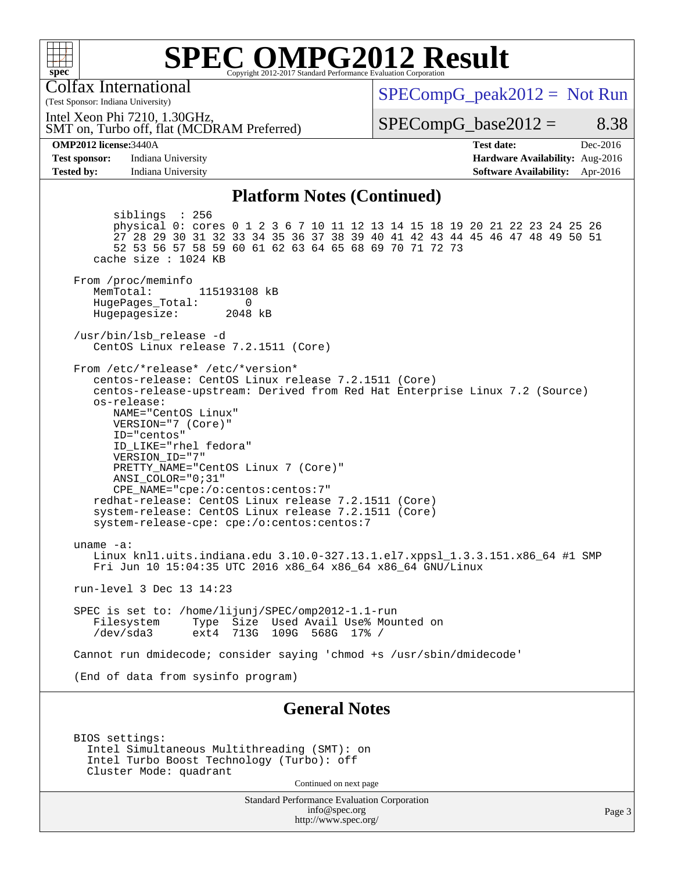

Colfax International

 $SPECompG_peak2012 = Not Run$  $SPECompG_peak2012 = Not Run$ 

Intel Xeon Phi 7210, 1.30GHz,

SMT on, Turbo off, flat (MCDRAM Preferred)

 $SPECompG_base2012 = 8.38$  $SPECompG_base2012 = 8.38$ 

**[OMP2012 license:](http://www.spec.org/auto/omp2012/Docs/result-fields.html#OMP2012license)**3440A **[Test date:](http://www.spec.org/auto/omp2012/Docs/result-fields.html#Testdate)** Dec-2016

(Test Sponsor: Indiana University)

**[Test sponsor:](http://www.spec.org/auto/omp2012/Docs/result-fields.html#Testsponsor)** Indiana University **[Hardware Availability:](http://www.spec.org/auto/omp2012/Docs/result-fields.html#HardwareAvailability)** Aug-2016 **[Tested by:](http://www.spec.org/auto/omp2012/Docs/result-fields.html#Testedby)** Indiana University **[Software Availability:](http://www.spec.org/auto/omp2012/Docs/result-fields.html#SoftwareAvailability)** Apr-2016

#### **[Platform Notes \(Continued\)](http://www.spec.org/auto/omp2012/Docs/result-fields.html#PlatformNotes)**

 siblings : 256 physical 0: cores 0 1 2 3 6 7 10 11 12 13 14 15 18 19 20 21 22 23 24 25 26 27 28 29 30 31 32 33 34 35 36 37 38 39 40 41 42 43 44 45 46 47 48 49 50 51 52 53 56 57 58 59 60 61 62 63 64 65 68 69 70 71 72 73 cache size : 1024 KB From /proc/meminfo MemTotal: 115193108 kB HugePages\_Total: 0<br>Hugepagesize: 2048 kB Hugepagesize: /usr/bin/lsb\_release -d CentOS Linux release 7.2.1511 (Core) From /etc/\*release\* /etc/\*version\* centos-release: CentOS Linux release 7.2.1511 (Core) centos-release-upstream: Derived from Red Hat Enterprise Linux 7.2 (Source) os-release: NAME="CentOS Linux" VERSION="7 (Core)" ID="centos" ID\_LIKE="rhel fedora" VERSION\_ID="7" PRETTY\_NAME="CentOS Linux 7 (Core)" ANSI\_COLOR="0;31" CPE\_NAME="cpe:/o:centos:centos:7" redhat-release: CentOS Linux release 7.2.1511 (Core) system-release: CentOS Linux release 7.2.1511 (Core) system-release-cpe: cpe:/o:centos:centos:7 uname -a: Linux knl1.uits.indiana.edu 3.10.0-327.13.1.el7.xppsl\_1.3.3.151.x86\_64 #1 SMP Fri Jun 10 15:04:35 UTC 2016 x86\_64 x86\_64 x86\_64 GNU/Linux run-level 3 Dec 13 14:23 SPEC is set to: /home/lijunj/SPEC/omp2012-1.1-run Filesystem Type Size Used Avail Use% Mounted on<br>/dev/sda3 ext4 713G 109G 568G 17% / 713G 109G 568G 17% / Cannot run dmidecode; consider saying 'chmod +s /usr/sbin/dmidecode' (End of data from sysinfo program) **[General Notes](http://www.spec.org/auto/omp2012/Docs/result-fields.html#GeneralNotes)**

 BIOS settings: Intel Simultaneous Multithreading (SMT): on Intel Turbo Boost Technology (Turbo): off Cluster Mode: quadrant

Continued on next page

Standard Performance Evaluation Corporation [info@spec.org](mailto:info@spec.org) <http://www.spec.org/>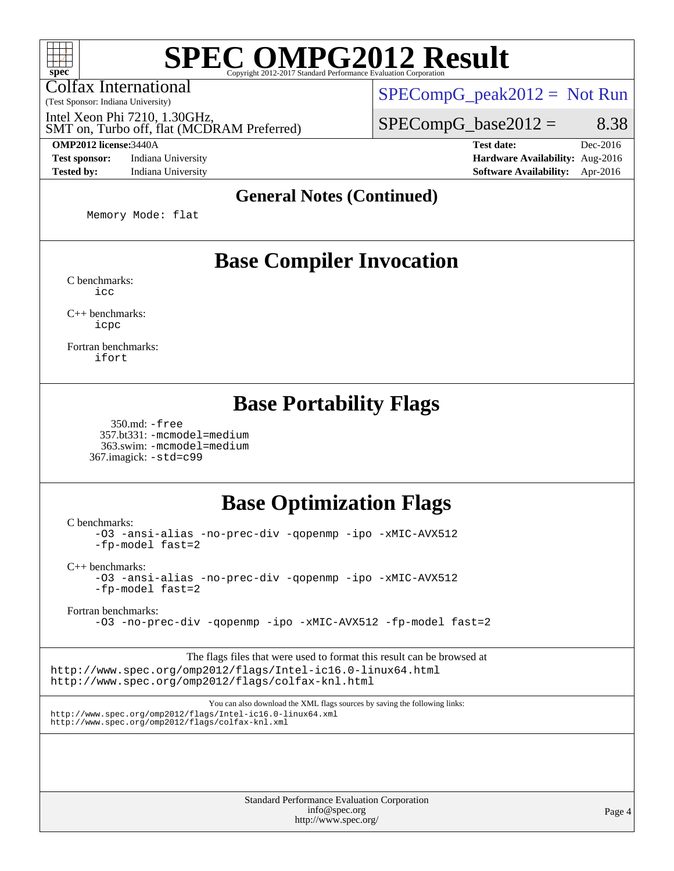Colfax International

(Test Sponsor: Indiana University)

 $SPECompG_peak2012 = Not Run$  $SPECompG_peak2012 = Not Run$ 

 $SPECompG_base2012 = 8.38$  $SPECompG_base2012 = 8.38$ 

SMT on, Turbo off, flat (MCDRAM Preferred) Intel Xeon Phi 7210, 1.30GHz,

**[Test sponsor:](http://www.spec.org/auto/omp2012/Docs/result-fields.html#Testsponsor)** Indiana University **[Hardware Availability:](http://www.spec.org/auto/omp2012/Docs/result-fields.html#HardwareAvailability)** Aug-2016 **[Tested by:](http://www.spec.org/auto/omp2012/Docs/result-fields.html#Testedby)** Indiana University **[Software Availability:](http://www.spec.org/auto/omp2012/Docs/result-fields.html#SoftwareAvailability)** Apr-2016

**[OMP2012 license:](http://www.spec.org/auto/omp2012/Docs/result-fields.html#OMP2012license)**3440A **[Test date:](http://www.spec.org/auto/omp2012/Docs/result-fields.html#Testdate)** Dec-2016

#### **[General Notes \(Continued\)](http://www.spec.org/auto/omp2012/Docs/result-fields.html#GeneralNotes)**

Memory Mode: flat

# **[Base Compiler Invocation](http://www.spec.org/auto/omp2012/Docs/result-fields.html#BaseCompilerInvocation)**

[C benchmarks](http://www.spec.org/auto/omp2012/Docs/result-fields.html#Cbenchmarks): [icc](http://www.spec.org/omp2012/results/res2017q1/omp2012-20161215-00089.flags.html#user_CCbase_intel_icc_a87c68a857bc5ec5362391a49d3a37a6)

[C++ benchmarks:](http://www.spec.org/auto/omp2012/Docs/result-fields.html#CXXbenchmarks) [icpc](http://www.spec.org/omp2012/results/res2017q1/omp2012-20161215-00089.flags.html#user_CXXbase_intel_icpc_2d899f8d163502b12eb4a60069f80c1c)

[Fortran benchmarks](http://www.spec.org/auto/omp2012/Docs/result-fields.html#Fortranbenchmarks): [ifort](http://www.spec.org/omp2012/results/res2017q1/omp2012-20161215-00089.flags.html#user_FCbase_intel_ifort_8a5e5e06b19a251bdeaf8fdab5d62f20)

### **[Base Portability Flags](http://www.spec.org/auto/omp2012/Docs/result-fields.html#BasePortabilityFlags)**

 350.md: [-free](http://www.spec.org/omp2012/results/res2017q1/omp2012-20161215-00089.flags.html#user_baseFPORTABILITY350_md_f-FR_e51be0673775d2012b3310fa5323f530) 357.bt331: [-mcmodel=medium](http://www.spec.org/omp2012/results/res2017q1/omp2012-20161215-00089.flags.html#user_baseFPORTABILITY357_bt331_f-mcmodel_3a41622424bdd074c4f0f2d2f224c7e5) 363.swim: [-mcmodel=medium](http://www.spec.org/omp2012/results/res2017q1/omp2012-20161215-00089.flags.html#user_baseFPORTABILITY363_swim_f-mcmodel_3a41622424bdd074c4f0f2d2f224c7e5) 367.imagick: [-std=c99](http://www.spec.org/omp2012/results/res2017q1/omp2012-20161215-00089.flags.html#user_baseCPORTABILITY367_imagick_f-std_2ec6533b6e06f1c4a6c9b78d9e9cde24)

# **[Base Optimization Flags](http://www.spec.org/auto/omp2012/Docs/result-fields.html#BaseOptimizationFlags)**

[C benchmarks](http://www.spec.org/auto/omp2012/Docs/result-fields.html#Cbenchmarks):

[-O3](http://www.spec.org/omp2012/results/res2017q1/omp2012-20161215-00089.flags.html#user_CCbase_f-O3) [-ansi-alias](http://www.spec.org/omp2012/results/res2017q1/omp2012-20161215-00089.flags.html#user_CCbase_f-ansi-alias) [-no-prec-div](http://www.spec.org/omp2012/results/res2017q1/omp2012-20161215-00089.flags.html#user_CCbase_f-no-prec-div) [-qopenmp](http://www.spec.org/omp2012/results/res2017q1/omp2012-20161215-00089.flags.html#user_CCbase_f-qopenmp) [-ipo](http://www.spec.org/omp2012/results/res2017q1/omp2012-20161215-00089.flags.html#user_CCbase_f-ipo) [-xMIC-AVX512](http://www.spec.org/omp2012/results/res2017q1/omp2012-20161215-00089.flags.html#user_CCbase_f-xMIC-AVX512) [-fp-model fast=2](http://www.spec.org/omp2012/results/res2017q1/omp2012-20161215-00089.flags.html#user_CCbase_f-fp-model_a7fb8ccb7275e23f0079632c153cfcab)

[C++ benchmarks:](http://www.spec.org/auto/omp2012/Docs/result-fields.html#CXXbenchmarks)

[-O3](http://www.spec.org/omp2012/results/res2017q1/omp2012-20161215-00089.flags.html#user_CXXbase_f-O3) [-ansi-alias](http://www.spec.org/omp2012/results/res2017q1/omp2012-20161215-00089.flags.html#user_CXXbase_f-ansi-alias) [-no-prec-div](http://www.spec.org/omp2012/results/res2017q1/omp2012-20161215-00089.flags.html#user_CXXbase_f-no-prec-div) [-qopenmp](http://www.spec.org/omp2012/results/res2017q1/omp2012-20161215-00089.flags.html#user_CXXbase_f-qopenmp) [-ipo](http://www.spec.org/omp2012/results/res2017q1/omp2012-20161215-00089.flags.html#user_CXXbase_f-ipo) [-xMIC-AVX512](http://www.spec.org/omp2012/results/res2017q1/omp2012-20161215-00089.flags.html#user_CXXbase_f-xMIC-AVX512) [-fp-model fast=2](http://www.spec.org/omp2012/results/res2017q1/omp2012-20161215-00089.flags.html#user_CXXbase_f-fp-model_a7fb8ccb7275e23f0079632c153cfcab)

[Fortran benchmarks](http://www.spec.org/auto/omp2012/Docs/result-fields.html#Fortranbenchmarks):

[-O3](http://www.spec.org/omp2012/results/res2017q1/omp2012-20161215-00089.flags.html#user_FCbase_f-O3) [-no-prec-div](http://www.spec.org/omp2012/results/res2017q1/omp2012-20161215-00089.flags.html#user_FCbase_f-no-prec-div) [-qopenmp](http://www.spec.org/omp2012/results/res2017q1/omp2012-20161215-00089.flags.html#user_FCbase_f-qopenmp) [-ipo](http://www.spec.org/omp2012/results/res2017q1/omp2012-20161215-00089.flags.html#user_FCbase_f-ipo) [-xMIC-AVX512](http://www.spec.org/omp2012/results/res2017q1/omp2012-20161215-00089.flags.html#user_FCbase_f-xMIC-AVX512) [-fp-model fast=2](http://www.spec.org/omp2012/results/res2017q1/omp2012-20161215-00089.flags.html#user_FCbase_f-fp-model_a7fb8ccb7275e23f0079632c153cfcab)

The flags files that were used to format this result can be browsed at <http://www.spec.org/omp2012/flags/Intel-ic16.0-linux64.html> <http://www.spec.org/omp2012/flags/colfax-knl.html>

You can also download the XML flags sources by saving the following links: <http://www.spec.org/omp2012/flags/Intel-ic16.0-linux64.xml> <http://www.spec.org/omp2012/flags/colfax-knl.xml>

> Standard Performance Evaluation Corporation [info@spec.org](mailto:info@spec.org) <http://www.spec.org/>

Page 4